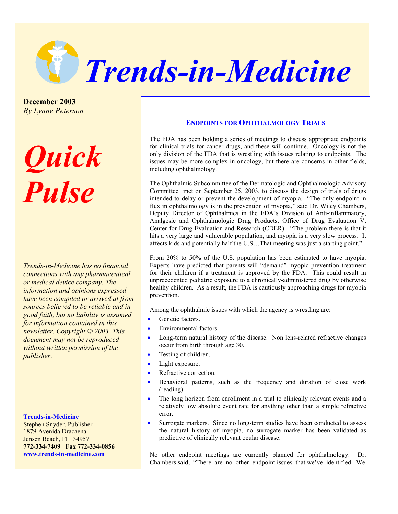

**December 2003**  *By Lynne Peterson*

*Quick Pulse*

*Trends-in-Medicine has no financial connections with any pharmaceutical or medical device company. The information and opinions expressed have been compiled or arrived at from sources believed to be reliable and in good faith, but no liability is assumed for information contained in this newsletter. Copyright © 2003. This document may not be reproduced without written permission of the publisher*.

**Trends-in-Medicine**  Stephen Snyder, Publisher 1879 Avenida Dracaena Jensen Beach, FL 34957 **772-334-7409 Fax 772-334-0856 www.trends-in-medicine.com** 

## **ENDPOINTS FOR OPHTHALMOLOGY TRIALS**

The FDA has been holding a series of meetings to discuss appropriate endpoints for clinical trials for cancer drugs, and these will continue. Oncology is not the only division of the FDA that is wrestling with issues relating to endpoints. The issues may be more complex in oncology, but there are concerns in other fields, including ophthalmology.

The Ophthalmic Subcommittee of the Dermatologic and Ophthalmologic Advisory Committee met on September 25, 2003, to discuss the design of trials of drugs intended to delay or prevent the development of myopia. "The only endpoint in flux in ophthalmology is in the prevention of myopia," said Dr. Wiley Chambers, Deputy Director of Ophthalmics in the FDA's Division of Anti-inflammatory, Analgesic and Ophthalmologic Drug Products, Office of Drug Evaluation V, Center for Drug Evaluation and Research (CDER). "The problem there is that it hits a very large and vulnerable population, and myopia is a very slow process. It affects kids and potentially half the U.S…That meeting was just a starting point."

From 20% to 50% of the U.S. population has been estimated to have myopia. Experts have predicted that parents will "demand" myopic prevention treatment for their children if a treatment is approved by the FDA. This could result in unprecedented pediatric exposure to a chronically-administered drug by otherwise healthy children. As a result, the FDA is cautiously approaching drugs for myopia prevention.

Among the ophthalmic issues with which the agency is wrestling are:

- Genetic factors
- Environmental factors.
- Long-term natural history of the disease. Non lens-related refractive changes occur from birth through age 30.
- Testing of children.
- Light exposure.
- Refractive correction.
- Behavioral patterns, such as the frequency and duration of close work (reading).
- The long horizon from enrollment in a trial to clinically relevant events and a relatively low absolute event rate for anything other than a simple refractive error.
- Surrogate markers. Since no long-term studies have been conducted to assess the natural history of myopia, no surrogate marker has been validated as predictive of clinically relevant ocular disease.

No other endpoint meetings are currently planned for ophthalmology. Dr. Chambers said, "There are no other endpoint issues that we've identified. We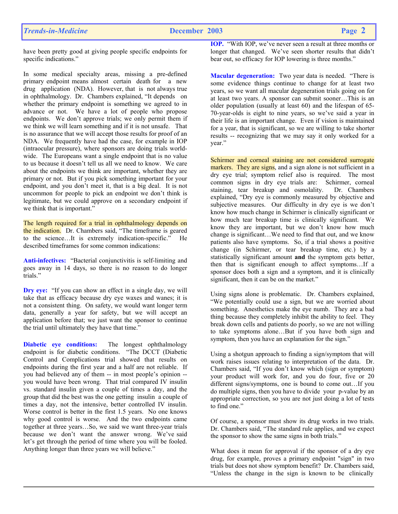have been pretty good at giving people specific endpoints for specific indications."

In some medical specialty areas, missing a pre-defined primary endpoint means almost certain death for a new drug application (NDA). However, that is not always true in ophthalmology. Dr. Chambers explained, "It depends on whether the primary endpoint is something we agreed to in advance or not. We have a lot of people who propose endpoints. We don't approve trials; we only permit them if we think we will learn something and if it is not unsafe. That is no assurance that we will accept those results for proof of an NDA. We frequently have had the case, for example in IOP (intraocular pressure), where sponsors are doing trials worldwide. The Europeans want a single endpoint that is no value to us because it doesn't tell us all we need to know. We care about the endpoints we think are important, whether they are primary or not. But if you pick something important for your endpoint, and you don't meet it, that is a big deal. It is not uncommon for people to pick an endpoint we don't think is legitimate, but we could approve on a secondary endpoint if we think that is important."

The length required for a trial in ophthalmology depends on the indication. Dr. Chambers said, "The timeframe is geared to the science…It is extremely indication-specific." He described timeframes for some common indications:

**Anti-infectives:** "Bacterial conjunctivitis is self-limiting and goes away in 14 days, so there is no reason to do longer trials."

**Dry eye:** "If you can show an effect in a single day, we will take that as efficacy because dry eye waxes and wanes; it is not a consistent thing. On safety, we would want longer term data, generally a year for safety, but we will accept an application before that; we just want the sponsor to continue the trial until ultimately they have that time."

**Diabetic eye conditions:** The longest ophthalmology endpoint is for diabetic conditions. "The DCCT (Diabetic Control and Complications trial showed that results on endpoints during the first year and a half are not reliable. If you had believed any of them -- in most people's opinion - you would have been wrong. That trial compared IV insulin vs. standard insulin given a couple of times a day, and the group that did the best was the one getting insulin a couple of times a day, not the intensive, better controlled IV insulin. Worse control is better in the first 1.5 years. No one knows why good control is worse. And the two endpoints came together at three years…So, we said we want three-year trials because we don't want the answer wrong. We've said let's get through the period of time where you will be fooled. Anything longer than three years we will believe."

**IOP.** "With IOP, we've never seen a result at three months or longer that changed. We've seen shorter results that didn't bear out, so efficacy for IOP lowering is three months."

**Macular degeneration:** Two year data is needed. "There is some evidence things continue to change for at least two years, so we want all macular degeneration trials going on for at least two years. A sponsor can submit sooner…This is an older population (usually at least 60) and the lifespan of 65- 70-year-olds is eight to nine years, so we've said a year in their life is an important change. Even if vision is maintained for a year, that is significant, so we are willing to take shorter results -- recognizing that we may say it only worked for a year."

Schirmer and corneal staining are not considered surrogate markers. They are signs, and a sign alone is not sufficient in a dry eye trial; symptom relief also is required. The most common signs in dry eye trials are: Schirmer, corneal staining, tear breakup and osmolality. Dr. Chambers explained, "Dry eye is commonly measured by objective and subjective measures. Our difficulty in dry eye is we don't know how much change in Schirmer is clinically significant or how much tear breakup time is clinically significant. We know they are important, but we don't know how much change is significant…We need to find that out, and we know patients also have symptoms. So, if a trial shows a positive change (in Schirmer, or tear breakup time, etc.) by a statistically significant amount **and** the symptom gets better, then that is significant enough to affect symptoms…If a sponsor does both a sign and a symptom, and it is clinically significant, then it can be on the market."

Using signs alone is problematic. Dr. Chambers explained, "We potentially could use a sign, but we are worried about something. Anesthetics make the eye numb. They are a bad thing because they completely inhibit the ability to feel. They break down cells and patients do poorly, so we are not willing to take symptoms alone…But if you have both sign and symptom, then you have an explanation for the sign."

Using a shotgun approach to finding a sign/symptom that will work raises issues relating to interpretation of the data. Dr. Chambers said, "If you don't know which (sign or symptom) your product will work for, and you do four, five or 20 different signs/symptoms, one is bound to come out…If you do multiple signs, then you have to divide your p-value by an appropriate correction, so you are not just doing a lot of tests to find one."

Of course, a sponsor must show its drug works in two trials. Dr. Chambers said, "The standard rule applies, and we expect the sponsor to show the same signs in both trials."

What does it mean for approval if the sponsor of a dry eye drug, for example, proves a primary endpoint "sign" in two trials but does not show symptom benefit? Dr. Chambers said, "Unless the change in the sign is known to be clinically